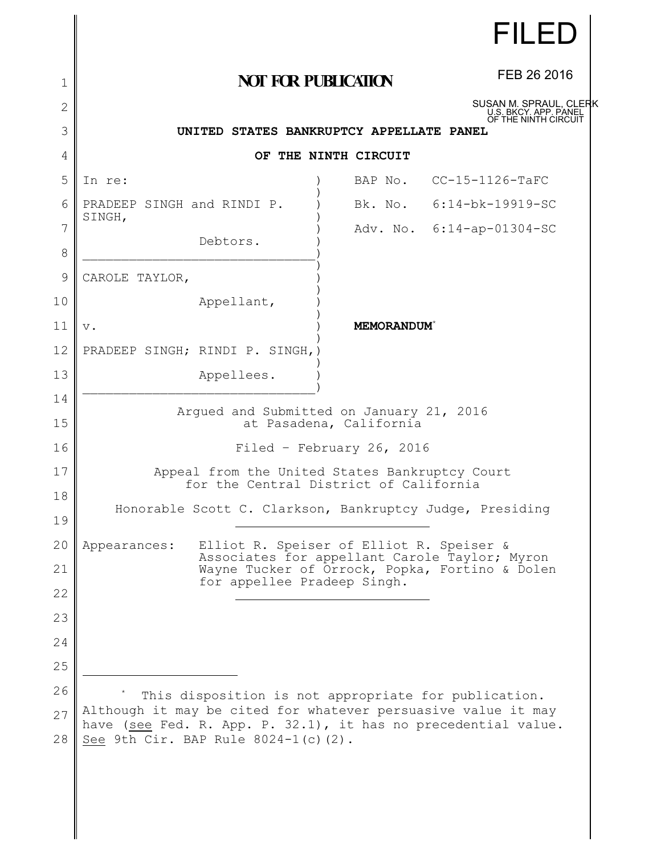|    |                                                                                                                                 |                   | FILED                                           |  |  |
|----|---------------------------------------------------------------------------------------------------------------------------------|-------------------|-------------------------------------------------|--|--|
| 1  | <b>NOT FOR PUBLICATION</b>                                                                                                      |                   | FEB 26 2016                                     |  |  |
| 2  |                                                                                                                                 |                   | SUSAN M. SPRAUL, CLERK<br>U.S. BKCY. APP. PANEL |  |  |
| 3  | OF THE NINTH CIRCUIT<br>UNITED STATES BANKRUPTCY APPELLATE PANEL                                                                |                   |                                                 |  |  |
| 4  | OF THE NINTH CIRCUIT                                                                                                            |                   |                                                 |  |  |
| 5  | In re:                                                                                                                          |                   | BAP No. CC-15-1126-TaFC                         |  |  |
| 6  | PRADEEP SINGH and RINDI P.                                                                                                      |                   | Bk. No. 6:14-bk-19919-SC                        |  |  |
| 7  | SINGH,<br>Debtors.                                                                                                              |                   | Adv. No. 6:14-ap-01304-SC                       |  |  |
| 8  |                                                                                                                                 |                   |                                                 |  |  |
| 9  | CAROLE TAYLOR,                                                                                                                  |                   |                                                 |  |  |
| 10 | Appellant,                                                                                                                      |                   |                                                 |  |  |
| 11 | $\mathbf v$ .                                                                                                                   | <b>MEMORANDUM</b> |                                                 |  |  |
| 12 | PRADEEP SINGH; RINDI P. SINGH, )                                                                                                |                   |                                                 |  |  |
| 13 | Appellees.                                                                                                                      |                   |                                                 |  |  |
| 14 |                                                                                                                                 |                   |                                                 |  |  |
| 15 | Argued and Submitted on January 21, 2016<br>at Pasadena, California                                                             |                   |                                                 |  |  |
| 16 | Filed - February 26, 2016                                                                                                       |                   |                                                 |  |  |
| 17 | Appeal from the United States Bankruptcy Court<br>for the Central District of California                                        |                   |                                                 |  |  |
| 18 | Honorable Scott C. Clarkson, Bankruptcy Judge, Presiding                                                                        |                   |                                                 |  |  |
| 19 |                                                                                                                                 |                   |                                                 |  |  |
| 20 | Elliot R. Speiser of Elliot R. Speiser &<br>Appearances:                                                                        |                   | Associates for appellant Carole Taylor; Myron   |  |  |
| 21 | for appellee Pradeep Singh.                                                                                                     |                   | Wayne Tucker of Orrock, Popka, Fortino & Dolen  |  |  |
| 22 |                                                                                                                                 |                   |                                                 |  |  |
| 23 |                                                                                                                                 |                   |                                                 |  |  |
| 24 |                                                                                                                                 |                   |                                                 |  |  |
| 25 |                                                                                                                                 |                   |                                                 |  |  |
| 26 | This disposition is not appropriate for publication.                                                                            |                   |                                                 |  |  |
| 27 | Although it may be cited for whatever persuasive value it may<br>have (see Fed. R. App. P. 32.1), it has no precedential value. |                   |                                                 |  |  |
| 28 | See 9th Cir. BAP Rule 8024-1(c)(2).                                                                                             |                   |                                                 |  |  |
|    |                                                                                                                                 |                   |                                                 |  |  |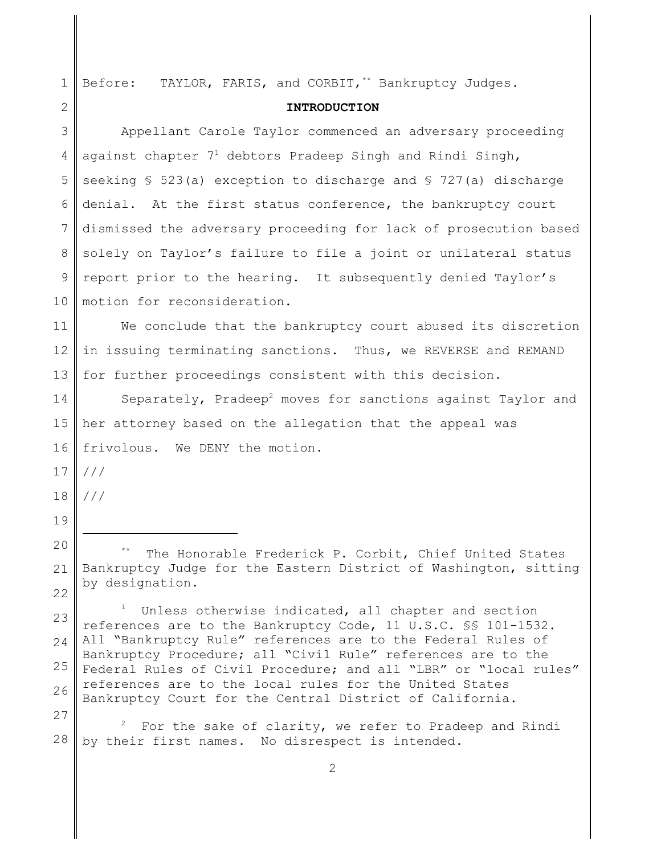| $\mathbf 1$   | TAYLOR, FARIS, and CORBIT, ** Bankruptcy Judges.<br>Before:                                                                                                                                                                                                                                                             |  |  |  |
|---------------|-------------------------------------------------------------------------------------------------------------------------------------------------------------------------------------------------------------------------------------------------------------------------------------------------------------------------|--|--|--|
| 2             | <b>INTRODUCTION</b>                                                                                                                                                                                                                                                                                                     |  |  |  |
| 3             | Appellant Carole Taylor commenced an adversary proceeding                                                                                                                                                                                                                                                               |  |  |  |
| 4             | against chapter $71$ debtors Pradeep Singh and Rindi Singh,                                                                                                                                                                                                                                                             |  |  |  |
| 5             | seeking $$523(a)$ exception to discharge and $$727(a)$ discharge                                                                                                                                                                                                                                                        |  |  |  |
| 6             | denial. At the first status conference, the bankruptcy court                                                                                                                                                                                                                                                            |  |  |  |
| 7             | dismissed the adversary proceeding for lack of prosecution based                                                                                                                                                                                                                                                        |  |  |  |
| 8             | solely on Taylor's failure to file a joint or unilateral status                                                                                                                                                                                                                                                         |  |  |  |
| $\mathcal{G}$ | report prior to the hearing. It subsequently denied Taylor's                                                                                                                                                                                                                                                            |  |  |  |
| 10            | motion for reconsideration.                                                                                                                                                                                                                                                                                             |  |  |  |
| 11            | We conclude that the bankruptcy court abused its discretion                                                                                                                                                                                                                                                             |  |  |  |
| 12            | in issuing terminating sanctions. Thus, we REVERSE and REMAND                                                                                                                                                                                                                                                           |  |  |  |
| 13            | for further proceedings consistent with this decision.                                                                                                                                                                                                                                                                  |  |  |  |
| 14            | Separately, Pradeep <sup>2</sup> moves for sanctions against Taylor and                                                                                                                                                                                                                                                 |  |  |  |
| 15            | her attorney based on the allegation that the appeal was                                                                                                                                                                                                                                                                |  |  |  |
| 16            | frivolous. We DENY the motion.                                                                                                                                                                                                                                                                                          |  |  |  |
| 17            | ///                                                                                                                                                                                                                                                                                                                     |  |  |  |
| 18            | $/$ / /                                                                                                                                                                                                                                                                                                                 |  |  |  |
| 19            |                                                                                                                                                                                                                                                                                                                         |  |  |  |
| 20            | The Honorable Frederick P. Corbit, Chief United States                                                                                                                                                                                                                                                                  |  |  |  |
| 21            | Bankruptcy Judge for the Eastern District of Washington, sitting                                                                                                                                                                                                                                                        |  |  |  |
| 22            | by designation.                                                                                                                                                                                                                                                                                                         |  |  |  |
| 23            | Unless otherwise indicated, all chapter and section<br>references are to the Bankruptcy Code, 11 U.S.C. SS 101-1532.                                                                                                                                                                                                    |  |  |  |
| 24            | All "Bankruptcy Rule" references are to the Federal Rules of<br>Bankruptcy Procedure; all "Civil Rule" references are to the<br>Federal Rules of Civil Procedure; and all "LBR" or "local rules"<br>references are to the local rules for the United States<br>Bankruptcy Court for the Central District of California. |  |  |  |
| 25            |                                                                                                                                                                                                                                                                                                                         |  |  |  |
| 26            |                                                                                                                                                                                                                                                                                                                         |  |  |  |
| 27            | For the sake of clarity, we refer to Pradeep and Rindi                                                                                                                                                                                                                                                                  |  |  |  |
| 28            | by their first names. No disrespect is intended.                                                                                                                                                                                                                                                                        |  |  |  |
|               |                                                                                                                                                                                                                                                                                                                         |  |  |  |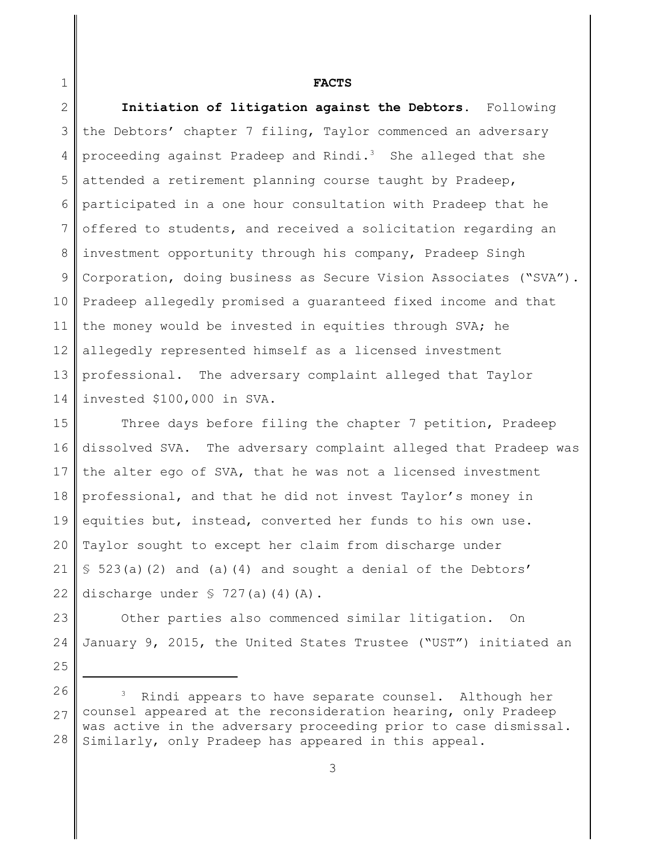## **FACTS**

2 3 4 5 6 7 8 9 10 11 12 13 14 **Initiation of litigation against the Debtors.** Following the Debtors' chapter 7 filing, Taylor commenced an adversary proceeding against Pradeep and Rindi.<sup>3</sup> She alleged that she attended a retirement planning course taught by Pradeep, participated in a one hour consultation with Pradeep that he offered to students, and received a solicitation regarding an investment opportunity through his company, Pradeep Singh Corporation, doing business as Secure Vision Associates ("SVA"). Pradeep allegedly promised a guaranteed fixed income and that the money would be invested in equities through SVA; he allegedly represented himself as a licensed investment professional. The adversary complaint alleged that Taylor invested \$100,000 in SVA.

15 16 17 18 19 20 21 22 Three days before filing the chapter 7 petition, Pradeep dissolved SVA. The adversary complaint alleged that Pradeep was the alter ego of SVA, that he was not a licensed investment professional, and that he did not invest Taylor's money in equities but, instead, converted her funds to his own use. Taylor sought to except her claim from discharge under § 523(a)(2) and (a)(4) and sought a denial of the Debtors' discharge under  $\sqrt{727(a)(4)(A)}$ .

23 24 Other parties also commenced similar litigation. On January 9, 2015, the United States Trustee ("UST") initiated an

26 27 28 Rindi appears to have separate counsel. Although her counsel appeared at the reconsideration hearing, only Pradeep was active in the adversary proceeding prior to case dismissal. Similarly, only Pradeep has appeared in this appeal.

1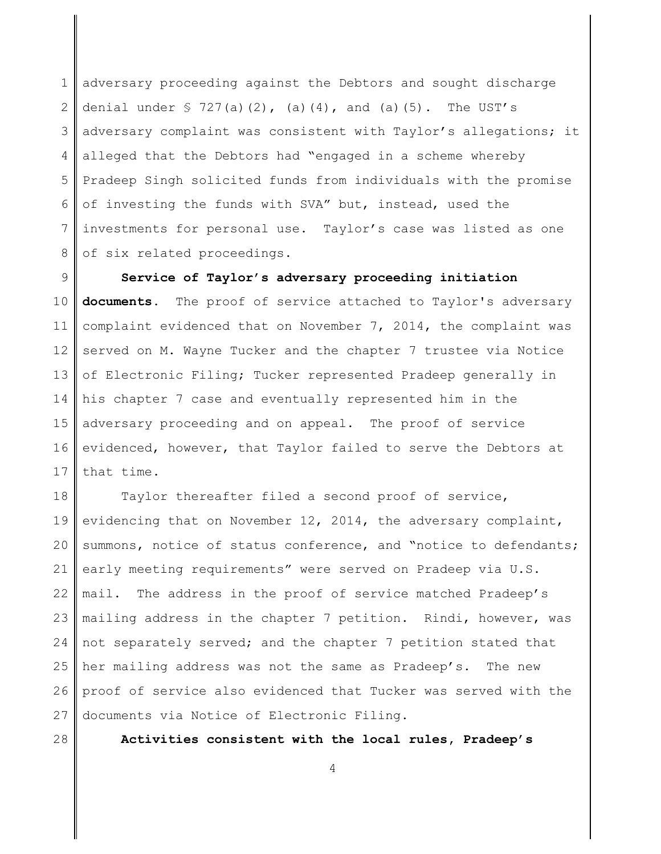1 2 3 4 5 6 7 8 adversary proceeding against the Debtors and sought discharge denial under  $\frac{1}{5}$  727(a)(2), (a)(4), and (a)(5). The UST's adversary complaint was consistent with Taylor's allegations; it alleged that the Debtors had "engaged in a scheme whereby Pradeep Singh solicited funds from individuals with the promise of investing the funds with SVA" but, instead, used the investments for personal use. Taylor's case was listed as one of six related proceedings.

9 10 11 12 13 14 15 16 17 **Service of Taylor's adversary proceeding initiation documents.** The proof of service attached to Taylor's adversary complaint evidenced that on November 7, 2014, the complaint was served on M. Wayne Tucker and the chapter 7 trustee via Notice of Electronic Filing; Tucker represented Pradeep generally in his chapter 7 case and eventually represented him in the adversary proceeding and on appeal. The proof of service evidenced, however, that Taylor failed to serve the Debtors at that time.

18 19 20 21 22 23 24 25 26 27 Taylor thereafter filed a second proof of service, evidencing that on November 12, 2014, the adversary complaint, summons, notice of status conference, and "notice to defendants; early meeting requirements" were served on Pradeep via U.S. mail. The address in the proof of service matched Pradeep's mailing address in the chapter 7 petition. Rindi, however, was not separately served; and the chapter 7 petition stated that her mailing address was not the same as Pradeep's. The new proof of service also evidenced that Tucker was served with the documents via Notice of Electronic Filing.

28

**Activities consistent with the local rules, Pradeep's**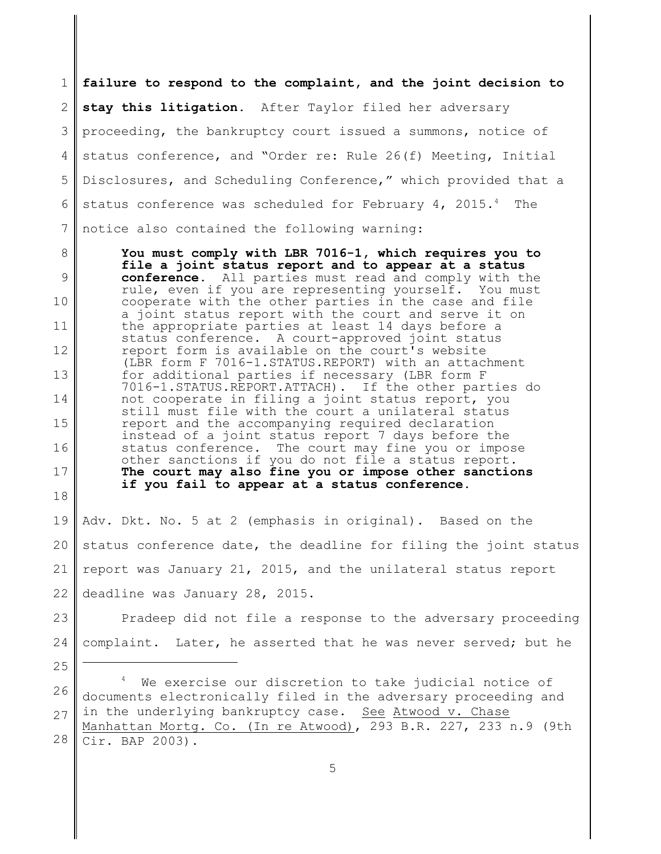1 2 3 4 5 6 7 **failure to respond to the complaint, and the joint decision to stay this litigation.** After Taylor filed her adversary proceeding, the bankruptcy court issued a summons, notice of status conference, and "Order re: Rule 26(f) Meeting, Initial Disclosures, and Scheduling Conference," which provided that a status conference was scheduled for February 4, 2015.<sup>4</sup> The notice also contained the following warning:

8 9 10 11 12 13 14 15 16 17 18 **You must comply with LBR 7016-1, which requires you to file a joint status report and to appear at a status conference.** All parties must read and comply with the rule, even if you are representing yourself. You must cooperate with the other parties in the case and file a joint status report with the court and serve it on the appropriate parties at least 14 days before a status conference. A court-approved joint status report form is available on the court's website (LBR form F 7016-1.STATUS.REPORT) with an attachment for additional parties if necessary (LBR form F 7016-1.STATUS.REPORT.ATTACH). If the other parties do not cooperate in filing a joint status report, you still must file with the court a unilateral status report and the accompanying required declaration instead of a joint status report 7 days before the<br>status conference. The court may fine you or impo The court may fine you or impose other sanctions if you do not file a status report. **The court may also fine you or impose other sanctions if you fail to appear at a status conference.**

19 20 21 22 Adv. Dkt. No. 5 at 2 (emphasis in original). Based on the status conference date, the deadline for filing the joint status report was January 21, 2015, and the unilateral status report deadline was January 28, 2015.

23 24 Pradeep did not file a response to the adversary proceeding complaint. Later, he asserted that he was never served; but he

25

26 27 We exercise our discretion to take judicial notice of documents electronically filed in the adversary proceeding and in the underlying bankruptcy case. See Atwood v. Chase

28 Manhattan Mortg. Co. (In re Atwood), 293 B.R. 227, 233 n.9 (9th Cir. BAP 2003).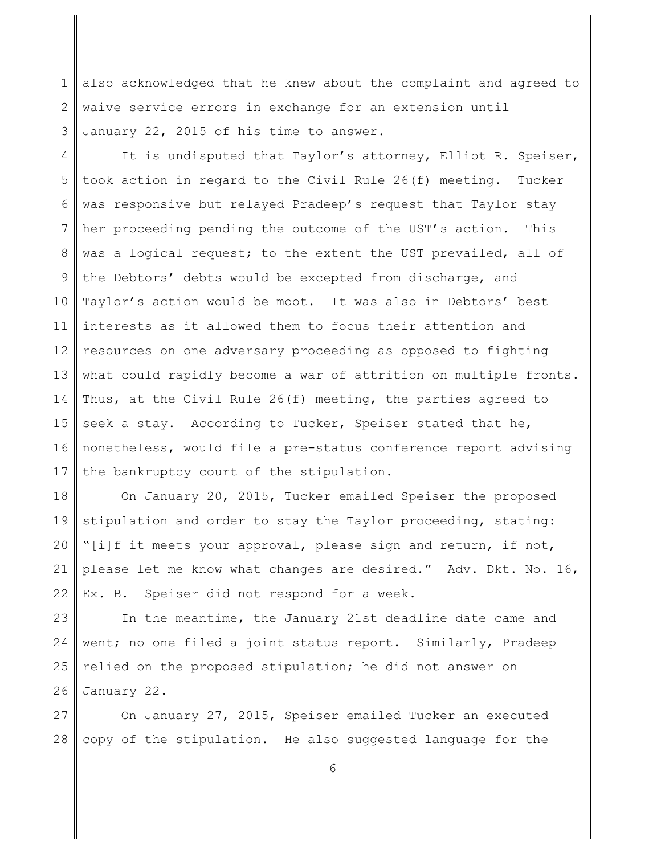1 2 3 also acknowledged that he knew about the complaint and agreed to waive service errors in exchange for an extension until January 22, 2015 of his time to answer.

4 5 6 7 8 9 10 11 12 13 14 15 16 17 It is undisputed that Taylor's attorney, Elliot R. Speiser, took action in regard to the Civil Rule 26(f) meeting. Tucker was responsive but relayed Pradeep's request that Taylor stay her proceeding pending the outcome of the UST's action. This was a logical request; to the extent the UST prevailed, all of the Debtors' debts would be excepted from discharge, and Taylor's action would be moot. It was also in Debtors' best interests as it allowed them to focus their attention and resources on one adversary proceeding as opposed to fighting what could rapidly become a war of attrition on multiple fronts. Thus, at the Civil Rule 26(f) meeting, the parties agreed to seek a stay. According to Tucker, Speiser stated that he, nonetheless, would file a pre-status conference report advising the bankruptcy court of the stipulation.

18 19 20 21 22 On January 20, 2015, Tucker emailed Speiser the proposed stipulation and order to stay the Taylor proceeding, stating: "[i]f it meets your approval, please sign and return, if not, please let me know what changes are desired." Adv. Dkt. No. 16, Ex. B. Speiser did not respond for a week.

23 24 25 26 In the meantime, the January 21st deadline date came and went; no one filed a joint status report. Similarly, Pradeep relied on the proposed stipulation; he did not answer on January 22.

27 28 On January 27, 2015, Speiser emailed Tucker an executed copy of the stipulation. He also suggested language for the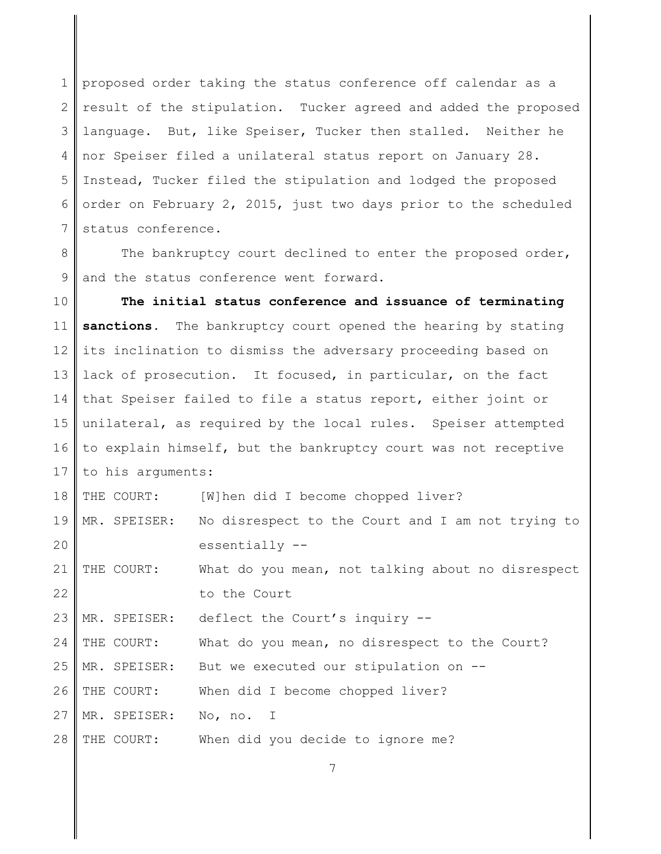1 2 3 4 5 6 7 proposed order taking the status conference off calendar as a result of the stipulation. Tucker agreed and added the proposed language. But, like Speiser, Tucker then stalled. Neither he nor Speiser filed a unilateral status report on January 28. Instead, Tucker filed the stipulation and lodged the proposed order on February 2, 2015, just two days prior to the scheduled status conference.

8 9 The bankruptcy court declined to enter the proposed order, and the status conference went forward.

10 11 12 13 14 15 16 17 **The initial status conference and issuance of terminating** sanctions. The bankruptcy court opened the hearing by stating its inclination to dismiss the adversary proceeding based on lack of prosecution. It focused, in particular, on the fact that Speiser failed to file a status report, either joint or unilateral, as required by the local rules. Speiser attempted to explain himself, but the bankruptcy court was not receptive to his arguments:

18 19 20 THE COURT: [W]hen did I become chopped liver? MR. SPEISER: No disrespect to the Court and I am not trying to essentially --

21 22 THE COURT: What do you mean, not talking about no disrespect to the Court

23 MR. SPEISER: deflect the Court's inquiry --

24 THE COURT: What do you mean, no disrespect to the Court?

25 MR. SPEISER: But we executed our stipulation on --

26 THE COURT: When did I become chopped liver?

27 MR. SPEISER: No, no. I

28 THE COURT: When did you decide to ignore me?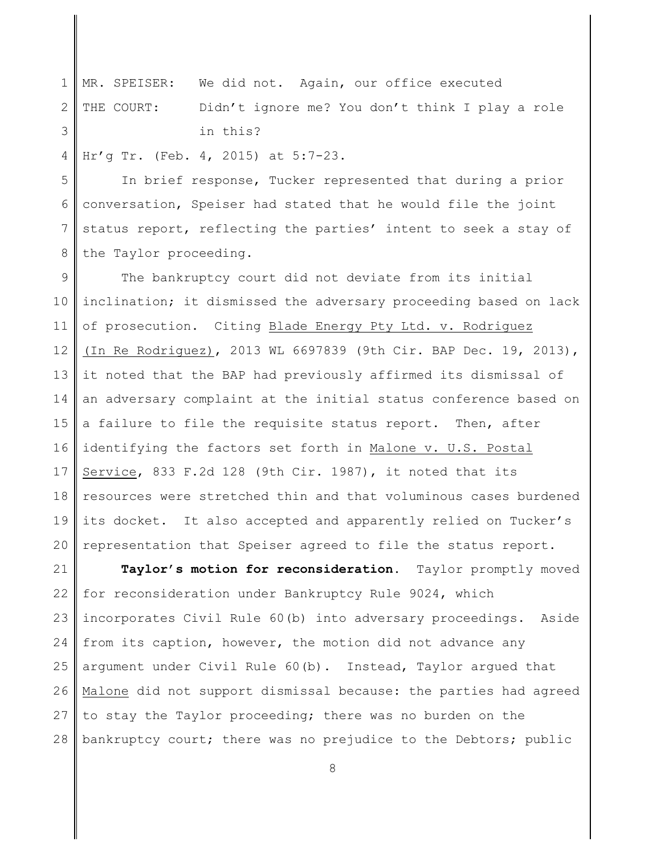1 2 3 MR. SPEISER: We did not. Again, our office executed THE COURT: Didn't ignore me? You don't think I play a role in this?

4 Hr'g Tr. (Feb. 4, 2015) at 5:7-23.

5 6 7 8 In brief response, Tucker represented that during a prior conversation, Speiser had stated that he would file the joint status report, reflecting the parties' intent to seek a stay of the Taylor proceeding.

9 10 11 12 13 14 15 16 17 18 19 20 The bankruptcy court did not deviate from its initial inclination; it dismissed the adversary proceeding based on lack of prosecution. Citing Blade Energy Pty Ltd. v. Rodriguez (In Re Rodriguez), 2013 WL 6697839 (9th Cir. BAP Dec. 19, 2013), it noted that the BAP had previously affirmed its dismissal of an adversary complaint at the initial status conference based on a failure to file the requisite status report. Then, after identifying the factors set forth in Malone v. U.S. Postal Service, 833 F.2d 128 (9th Cir. 1987), it noted that its resources were stretched thin and that voluminous cases burdened its docket. It also accepted and apparently relied on Tucker's representation that Speiser agreed to file the status report.

21 22 23 24 25 26 27 28 **Taylor's motion for reconsideration.** Taylor promptly moved for reconsideration under Bankruptcy Rule 9024, which incorporates Civil Rule 60(b) into adversary proceedings. Aside from its caption, however, the motion did not advance any argument under Civil Rule 60(b). Instead, Taylor argued that Malone did not support dismissal because: the parties had agreed to stay the Taylor proceeding; there was no burden on the bankruptcy court; there was no prejudice to the Debtors; public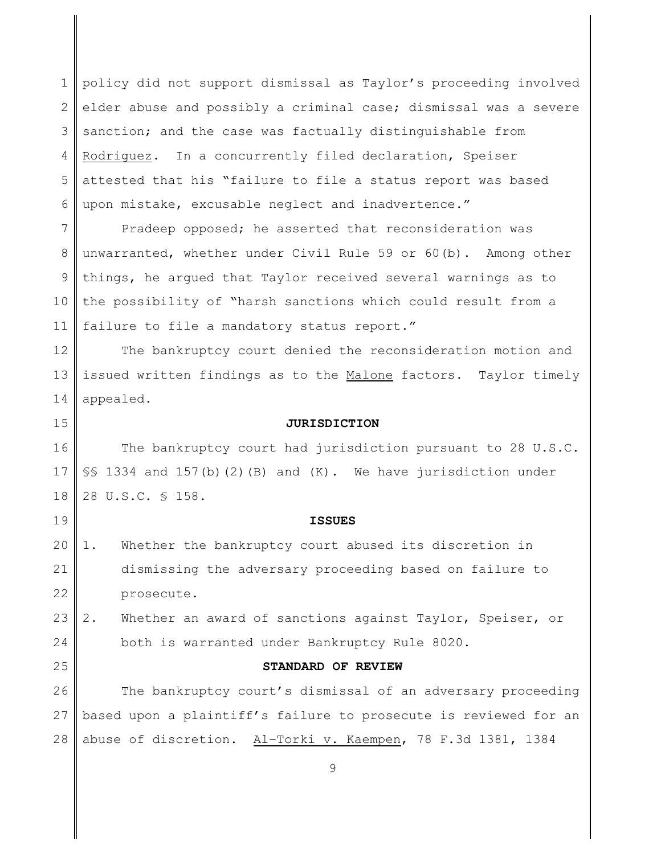1 2 3 4 5 6 policy did not support dismissal as Taylor's proceeding involved elder abuse and possibly a criminal case; dismissal was a severe sanction; and the case was factually distinguishable from Rodriguez. In a concurrently filed declaration, Speiser attested that his "failure to file a status report was based upon mistake, excusable neglect and inadvertence."

7 8 9 10 11 Pradeep opposed; he asserted that reconsideration was unwarranted, whether under Civil Rule 59 or 60(b). Among other things, he argued that Taylor received several warnings as to the possibility of "harsh sanctions which could result from a failure to file a mandatory status report."

12 13 14 The bankruptcy court denied the reconsideration motion and issued written findings as to the Malone factors. Taylor timely appealed.

**JURISDICTION**

16 17 18 The bankruptcy court had jurisdiction pursuant to 28 U.S.C. §§ 1334 and 157(b)(2)(B) and (K). We have jurisdiction under 28 U.S.C. § 158.

15

19

25

## **ISSUES**

20 21 22 1. Whether the bankruptcy court abused its discretion in dismissing the adversary proceeding based on failure to prosecute.

23 24 2. Whether an award of sanctions against Taylor, Speiser, or both is warranted under Bankruptcy Rule 8020.

## **STANDARD OF REVIEW**

26 27 28 The bankruptcy court's dismissal of an adversary proceeding based upon a plaintiff's failure to prosecute is reviewed for an abuse of discretion. Al–Torki v. Kaempen, 78 F.3d 1381, 1384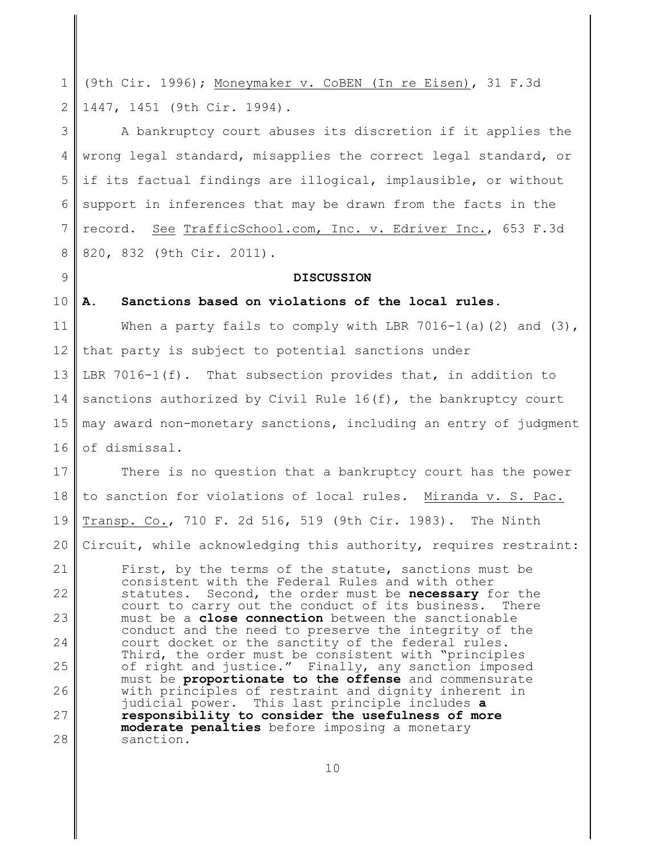1 2 (9th Cir. 1996); Moneymaker v. CoBEN (In re Eisen), 31 F.3d 1447, 1451 (9th Cir. 1994).

3 4 5 6 7 8 A bankruptcy court abuses its discretion if it applies the wrong legal standard, misapplies the correct legal standard, or if its factual findings are illogical, implausible, or without support in inferences that may be drawn from the facts in the record. See TrafficSchool.com, Inc. v. Edriver Inc., 653 F.3d 820, 832 (9th Cir. 2011).

## **DISCUSSION**

#### 10 **A. Sanctions based on violations of the local rules.**

9

11 12 13 14 15 16 When a party fails to comply with LBR 7016-1(a)(2) and  $(3)$ , that party is subject to potential sanctions under LBR 7016-1(f). That subsection provides that, in addition to sanctions authorized by Civil Rule  $16(f)$ , the bankruptcy court may award non-monetary sanctions, including an entry of judgment of dismissal.

17 18 19 20 21 22 23 24 25 26 27 28 There is no question that a bankruptcy court has the power to sanction for violations of local rules. Miranda v. S. Pac. Transp. Co., 710 F. 2d 516, 519 (9th Cir. 1983). The Ninth Circuit, while acknowledging this authority, requires restraint: First, by the terms of the statute, sanctions must be consistent with the Federal Rules and with other statutes. Second, the order must be **necessary** for the court to carry out the conduct of its business. There must be a **close connection** between the sanctionable conduct and the need to preserve the integrity of the court docket or the sanctity of the federal rules. Third, the order must be consistent with "principles of right and justice." Finally, any sanction imposed must be **proportionate to the offense** and commensurate with principles of restraint and dignity inherent in judicial power. This last principle includes **a responsibility to consider the usefulness of more moderate penalties** before imposing a monetary sanction.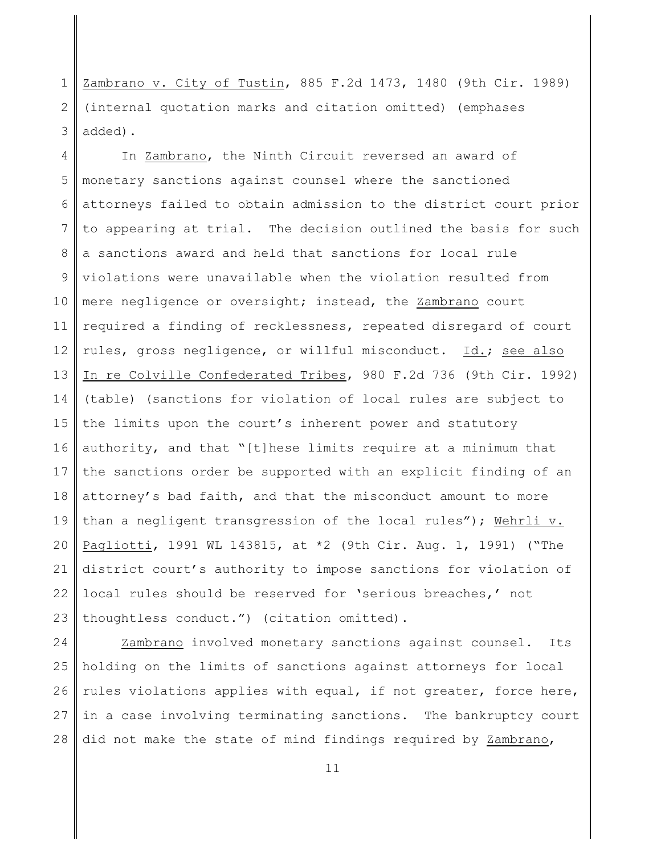1 2 3 Zambrano v. City of Tustin, 885 F.2d 1473, 1480 (9th Cir. 1989) (internal quotation marks and citation omitted) (emphases added).

4 5 6 7 8 9 10 11 12 13 14 15 16 17 18 19 20 21 22 23 In Zambrano, the Ninth Circuit reversed an award of monetary sanctions against counsel where the sanctioned attorneys failed to obtain admission to the district court prior to appearing at trial. The decision outlined the basis for such a sanctions award and held that sanctions for local rule violations were unavailable when the violation resulted from mere negligence or oversight; instead, the Zambrano court required a finding of recklessness, repeated disregard of court rules, gross negligence, or willful misconduct. Id.; see also In re Colville Confederated Tribes, 980 F.2d 736 (9th Cir. 1992) (table) (sanctions for violation of local rules are subject to the limits upon the court's inherent power and statutory authority, and that "[t]hese limits require at a minimum that the sanctions order be supported with an explicit finding of an attorney's bad faith, and that the misconduct amount to more than a negligent transgression of the local rules"); Wehrli v. Pagliotti, 1991 WL 143815, at \*2 (9th Cir. Aug. 1, 1991) ("The district court's authority to impose sanctions for violation of local rules should be reserved for 'serious breaches,' not thoughtless conduct.") (citation omitted).

24 25 26 27 28 Zambrano involved monetary sanctions against counsel. Its holding on the limits of sanctions against attorneys for local rules violations applies with equal, if not greater, force here, in a case involving terminating sanctions. The bankruptcy court did not make the state of mind findings required by Zambrano,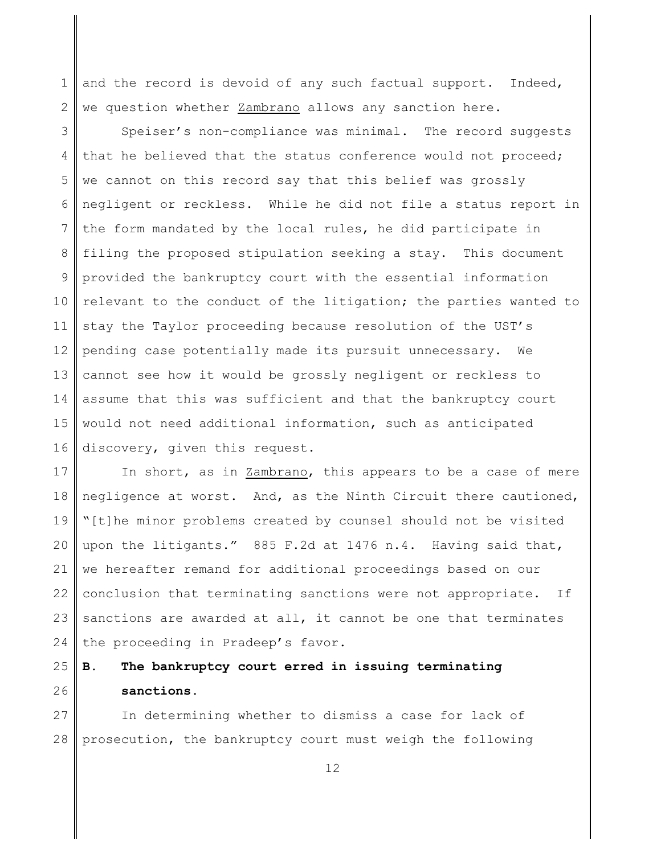1 2 and the record is devoid of any such factual support. Indeed, we question whether Zambrano allows any sanction here.

3 4 5 6 7 8 9 10 11 12 13 14 15 16 Speiser's non-compliance was minimal. The record suggests that he believed that the status conference would not proceed; we cannot on this record say that this belief was grossly negligent or reckless. While he did not file a status report in the form mandated by the local rules, he did participate in filing the proposed stipulation seeking a stay. This document provided the bankruptcy court with the essential information relevant to the conduct of the litigation; the parties wanted to stay the Taylor proceeding because resolution of the UST's pending case potentially made its pursuit unnecessary. We cannot see how it would be grossly negligent or reckless to assume that this was sufficient and that the bankruptcy court would not need additional information, such as anticipated discovery, given this request.

17 18 19 20 21 22 23 24 In short, as in Zambrano, this appears to be a case of mere negligence at worst. And, as the Ninth Circuit there cautioned, "[t]he minor problems created by counsel should not be visited upon the litigants." 885 F.2d at 1476 n.4. Having said that, we hereafter remand for additional proceedings based on our conclusion that terminating sanctions were not appropriate. If sanctions are awarded at all, it cannot be one that terminates the proceeding in Pradeep's favor.

### 25 26 **B. The bankruptcy court erred in issuing terminating sanctions.**

27 28 In determining whether to dismiss a case for lack of prosecution, the bankruptcy court must weigh the following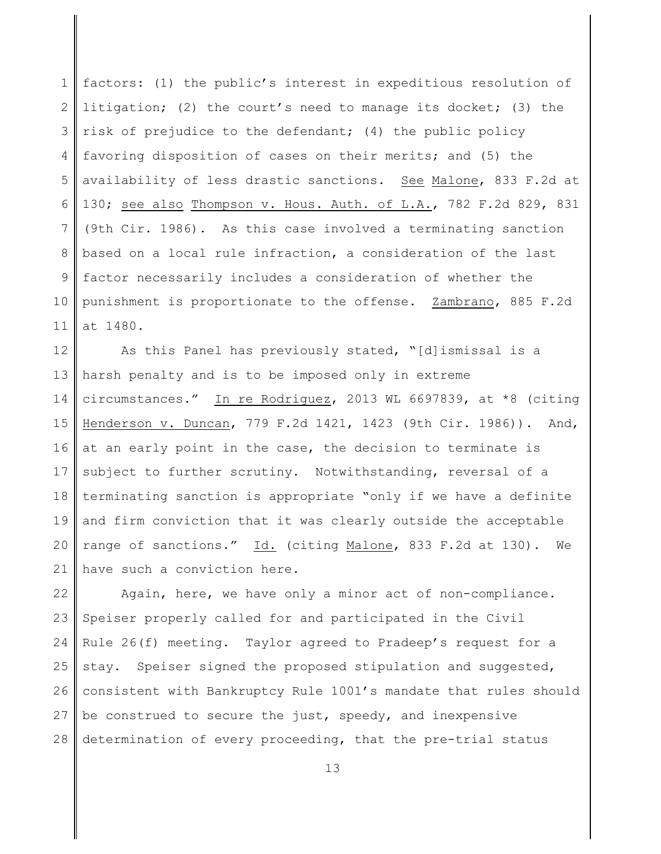1 2 3 4 5 6 7 8 9 10 11 factors: (1) the public's interest in expeditious resolution of litigation; (2) the court's need to manage its docket; (3) the risk of prejudice to the defendant; (4) the public policy favoring disposition of cases on their merits; and (5) the availability of less drastic sanctions. See Malone, 833 F.2d at 130; see also Thompson v. Hous. Auth. of L.A., 782 F.2d 829, 831 (9th Cir. 1986). As this case involved a terminating sanction based on a local rule infraction, a consideration of the last factor necessarily includes a consideration of whether the punishment is proportionate to the offense. Zambrano, 885 F.2d at 1480.

12 13 14 15 16 17 18 19 20 21 As this Panel has previously stated, "[d]ismissal is a harsh penalty and is to be imposed only in extreme circumstances." In re Rodriguez, 2013 WL 6697839, at \*8 (citing Henderson v. Duncan, 779 F.2d 1421, 1423 (9th Cir. 1986)). And, at an early point in the case, the decision to terminate is subject to further scrutiny. Notwithstanding, reversal of a terminating sanction is appropriate "only if we have a definite and firm conviction that it was clearly outside the acceptable range of sanctions." Id. (citing Malone, 833 F.2d at 130). We have such a conviction here.

22 23 24 25 26 27 28 Again, here, we have only a minor act of non-compliance. Speiser properly called for and participated in the Civil Rule 26(f) meeting. Taylor agreed to Pradeep's request for a stay. Speiser signed the proposed stipulation and suggested, consistent with Bankruptcy Rule 1001's mandate that rules should be construed to secure the just, speedy, and inexpensive determination of every proceeding, that the pre-trial status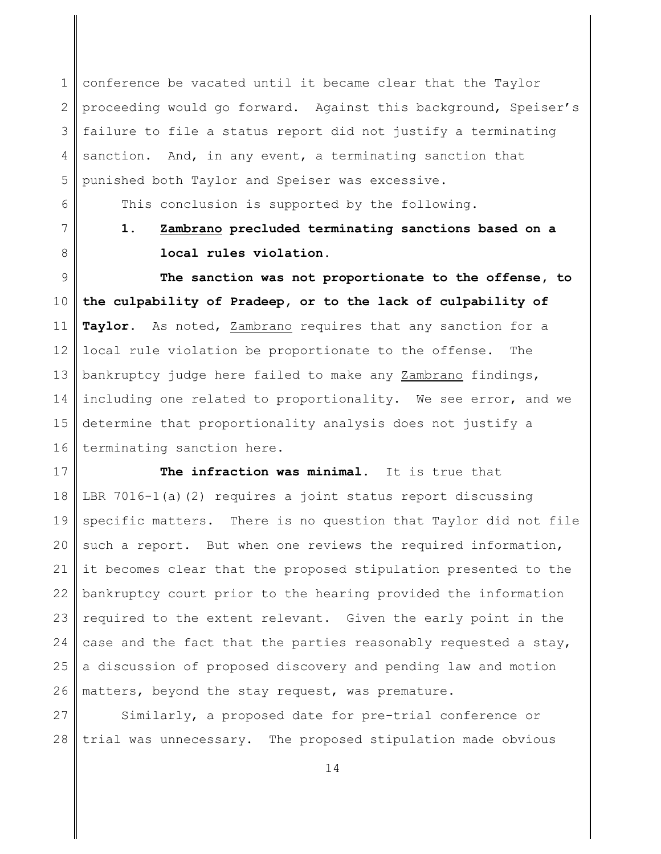1 2 3 4 5 conference be vacated until it became clear that the Taylor proceeding would go forward. Against this background, Speiser's failure to file a status report did not justify a terminating sanction. And, in any event, a terminating sanction that punished both Taylor and Speiser was excessive.

This conclusion is supported by the following.

7

8

6

**1. Zambrano precluded terminating sanctions based on a local rules violation.**

9 10 11 12 13 14 15 16 **The sanction was not proportionate to the offense, to the culpability of Pradeep, or to the lack of culpability of Taylor.** As noted, Zambrano requires that any sanction for a local rule violation be proportionate to the offense. The bankruptcy judge here failed to make any Zambrano findings, including one related to proportionality. We see error, and we determine that proportionality analysis does not justify a terminating sanction here.

17 18 19 20 21 22 23 24 25 26 **The infraction was minimal.** It is true that LBR 7016-1(a)(2) requires a joint status report discussing specific matters. There is no question that Taylor did not file such a report. But when one reviews the required information, it becomes clear that the proposed stipulation presented to the bankruptcy court prior to the hearing provided the information required to the extent relevant. Given the early point in the case and the fact that the parties reasonably requested a stay, a discussion of proposed discovery and pending law and motion matters, beyond the stay request, was premature.

27 28 Similarly, a proposed date for pre-trial conference or trial was unnecessary. The proposed stipulation made obvious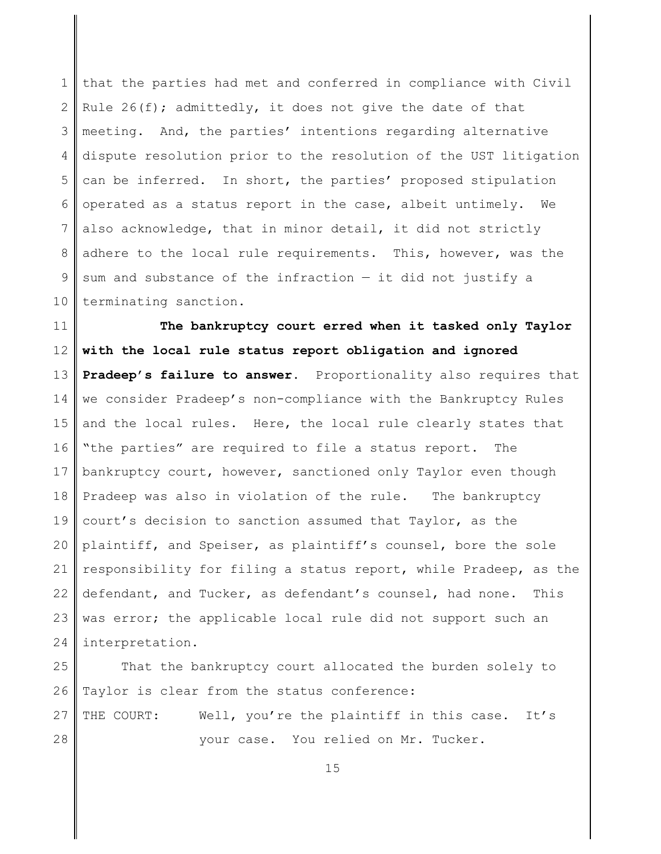1 2 3 4 5 6 7 8 9 10 that the parties had met and conferred in compliance with Civil Rule  $26(f)$ ; admittedly, it does not give the date of that meeting. And, the parties' intentions regarding alternative dispute resolution prior to the resolution of the UST litigation can be inferred. In short, the parties' proposed stipulation operated as a status report in the case, albeit untimely. We also acknowledge, that in minor detail, it did not strictly adhere to the local rule requirements. This, however, was the sum and substance of the infraction — it did not justify a terminating sanction.

11 12 13 14 15 16 17 18 19 20 21 22 23 24 **The bankruptcy court erred when it tasked only Taylor with the local rule status report obligation and ignored Pradeep's failure to answer.** Proportionality also requires that we consider Pradeep's non-compliance with the Bankruptcy Rules and the local rules. Here, the local rule clearly states that "the parties" are required to file a status report. The bankruptcy court, however, sanctioned only Taylor even though Pradeep was also in violation of the rule. The bankruptcy court's decision to sanction assumed that Taylor, as the plaintiff, and Speiser, as plaintiff's counsel, bore the sole responsibility for filing a status report, while Pradeep, as the defendant, and Tucker, as defendant's counsel, had none. This was error; the applicable local rule did not support such an interpretation.

25 26 27 28 That the bankruptcy court allocated the burden solely to Taylor is clear from the status conference: THE COURT: Well, you're the plaintiff in this case. It's your case. You relied on Mr. Tucker.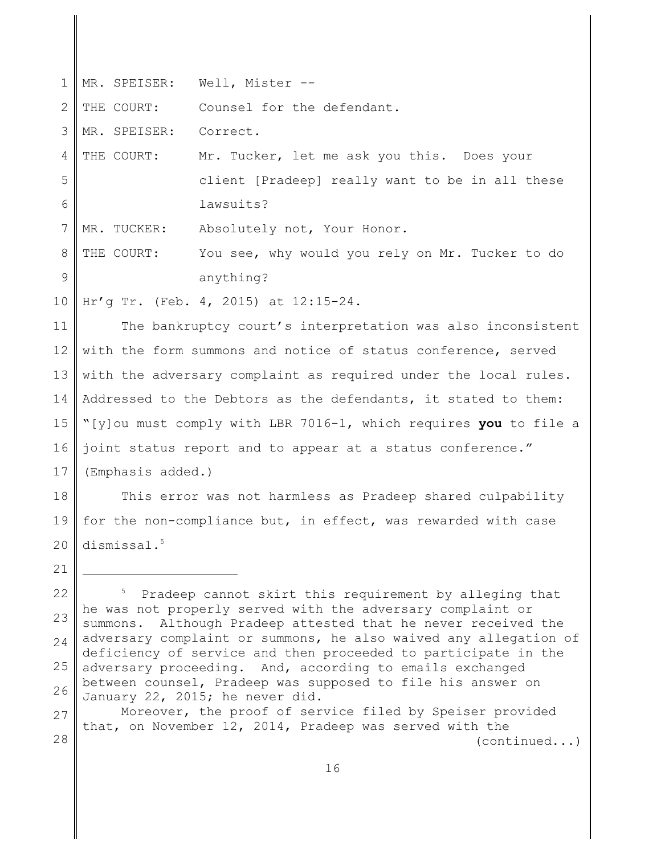| $\mathbf 1$ |                                                                                                                                    | MR. SPEISER: Well, Mister --                                                                                        |  |
|-------------|------------------------------------------------------------------------------------------------------------------------------------|---------------------------------------------------------------------------------------------------------------------|--|
| 2           | THE COURT:                                                                                                                         | Counsel for the defendant.                                                                                          |  |
| 3           | MR. SPEISER:                                                                                                                       | Correct.                                                                                                            |  |
| 4           | THE COURT:                                                                                                                         | Mr. Tucker, let me ask you this. Does your                                                                          |  |
| 5           |                                                                                                                                    | client [Pradeep] really want to be in all these                                                                     |  |
| 6           |                                                                                                                                    | lawsuits?                                                                                                           |  |
| 7           | MR. TUCKER:                                                                                                                        | Absolutely not, Your Honor.                                                                                         |  |
| 8           | THE COURT:                                                                                                                         | You see, why would you rely on Mr. Tucker to do                                                                     |  |
| 9           |                                                                                                                                    | anything?                                                                                                           |  |
| 10          |                                                                                                                                    | Hr'g Tr. (Feb. 4, 2015) at 12:15-24.                                                                                |  |
| 11          | The bankruptcy court's interpretation was also inconsistent                                                                        |                                                                                                                     |  |
| 12          | with the form summons and notice of status conference, served                                                                      |                                                                                                                     |  |
| 13          | with the adversary complaint as required under the local rules.                                                                    |                                                                                                                     |  |
| 14          | Addressed to the Debtors as the defendants, it stated to them:                                                                     |                                                                                                                     |  |
| 15          | "[y]ou must comply with LBR 7016-1, which requires you to file a                                                                   |                                                                                                                     |  |
| 16          | joint status report and to appear at a status conference."                                                                         |                                                                                                                     |  |
| 17          | (Emphasis added.)                                                                                                                  |                                                                                                                     |  |
| 18          | This error was not harmless as Pradeep shared culpability                                                                          |                                                                                                                     |  |
| 19          | for the non-compliance but, in effect, was rewarded with case                                                                      |                                                                                                                     |  |
|             | $20$ dismissal. <sup>5</sup>                                                                                                       |                                                                                                                     |  |
| 21          |                                                                                                                                    |                                                                                                                     |  |
| 22          | Pradeep cannot skirt this requirement by alleging that                                                                             |                                                                                                                     |  |
| 23          | he was not properly served with the adversary complaint or<br>Although Pradeep attested that he never received the<br>summons.     |                                                                                                                     |  |
| 24          | adversary complaint or summons, he also waived any allegation of<br>deficiency of service and then proceeded to participate in the |                                                                                                                     |  |
| 25          | adversary proceeding.<br>And, according to emails exchanged<br>between counsel, Pradeep was supposed to file his answer on         |                                                                                                                     |  |
| 26          |                                                                                                                                    | January 22, 2015; he never did.                                                                                     |  |
| 27          |                                                                                                                                    | Moreover, the proof of service filed by Speiser provided<br>that, on November 12, 2014, Pradeep was served with the |  |
| 28          |                                                                                                                                    | (continued)                                                                                                         |  |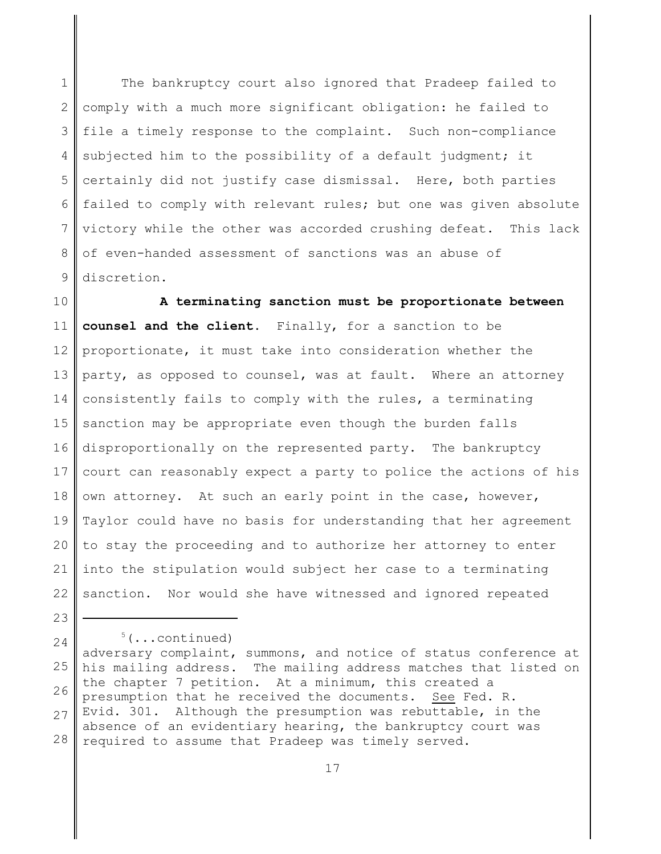1 2 3 4 5 6 7 8 9 The bankruptcy court also ignored that Pradeep failed to comply with a much more significant obligation: he failed to file a timely response to the complaint. Such non-compliance subjected him to the possibility of a default judgment; it certainly did not justify case dismissal. Here, both parties failed to comply with relevant rules; but one was given absolute victory while the other was accorded crushing defeat. This lack of even-handed assessment of sanctions was an abuse of discretion.

10 11 12 13 14 15 16 17 18 19 20 21 22 **A terminating sanction must be proportionate between counsel and the client.** Finally, for a sanction to be proportionate, it must take into consideration whether the party, as opposed to counsel, was at fault. Where an attorney consistently fails to comply with the rules, a terminating sanction may be appropriate even though the burden falls disproportionally on the represented party. The bankruptcy court can reasonably expect a party to police the actions of his own attorney. At such an early point in the case, however, Taylor could have no basis for understanding that her agreement to stay the proceeding and to authorize her attorney to enter into the stipulation would subject her case to a terminating sanction. Nor would she have witnessed and ignored repeated

23

 $5$ (...continued)

24 25 26 27 28 adversary complaint, summons, and notice of status conference at his mailing address. The mailing address matches that listed on the chapter 7 petition. At a minimum, this created a presumption that he received the documents. See Fed. R. Evid. 301. Although the presumption was rebuttable, in the absence of an evidentiary hearing, the bankruptcy court was required to assume that Pradeep was timely served.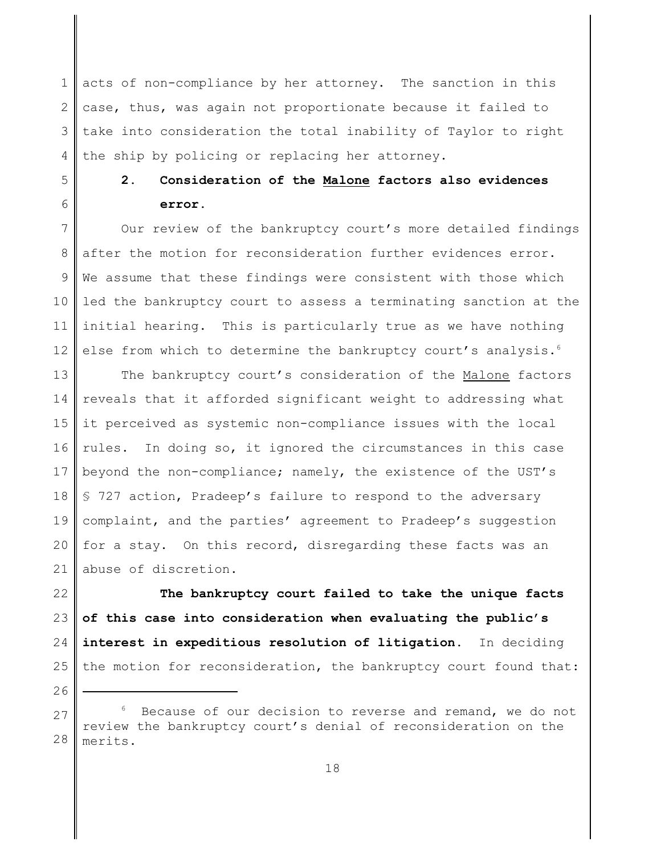1 2 3 4 acts of non-compliance by her attorney. The sanction in this case, thus, was again not proportionate because it failed to take into consideration the total inability of Taylor to right the ship by policing or replacing her attorney.

# **2. Consideration of the Malone factors also evidences error.**

7 8 9 10 11 12 Our review of the bankruptcy court's more detailed findings after the motion for reconsideration further evidences error. We assume that these findings were consistent with those which led the bankruptcy court to assess a terminating sanction at the initial hearing. This is particularly true as we have nothing else from which to determine the bankruptcy court's analysis.<sup>6</sup>

13 14 15 16 17 18 19 20 21 The bankruptcy court's consideration of the Malone factors reveals that it afforded significant weight to addressing what it perceived as systemic non-compliance issues with the local rules. In doing so, it ignored the circumstances in this case beyond the non-compliance; namely, the existence of the UST's § 727 action, Pradeep's failure to respond to the adversary complaint, and the parties' agreement to Pradeep's suggestion for a stay. On this record, disregarding these facts was an abuse of discretion.

22 23 24 25 **The bankruptcy court failed to take the unique facts of this case into consideration when evaluating the public's interest in expeditious resolution of litigation.** In deciding the motion for reconsideration, the bankruptcy court found that:

26

5

<sup>27</sup> 28 Because of our decision to reverse and remand, we do not review the bankruptcy court's denial of reconsideration on the merits.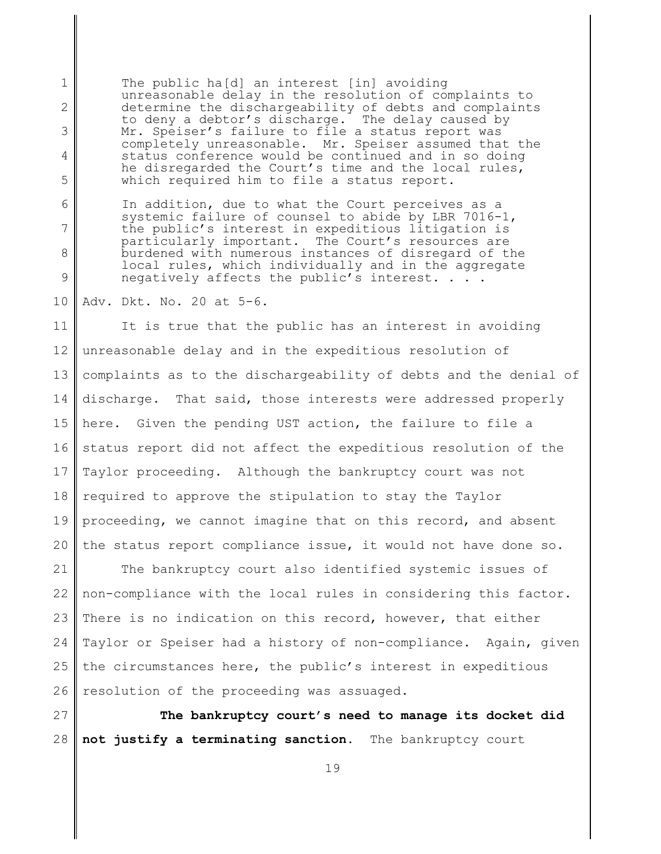The public ha[d] an interest [in] avoiding unreasonable delay in the resolution of complaints to determine the dischargeability of debts and complaints to deny a debtor's discharge. The delay caused by Mr. Speiser's failure to file a status report was completely unreasonable. Mr. Speiser assumed that the status conference would be continued and in so doing he disregarded the Court's time and the local rules, which required him to file a status report.

In addition, due to what the Court perceives as a systemic failure of counsel to abide by LBR 7016-1, the public's interest in expeditious litigation is particularly important. The Court's resources are burdened with numerous instances of disregard of the local rules, which individually and in the aggregate negatively affects the public's interest. . . .

10 Adv. Dkt. No. 20 at 5-6.

1

2

3

4

5

6

7

8

9

11 12 13 14 15 16 17 18 19 20 It is true that the public has an interest in avoiding unreasonable delay and in the expeditious resolution of complaints as to the dischargeability of debts and the denial of discharge. That said, those interests were addressed properly here. Given the pending UST action, the failure to file a status report did not affect the expeditious resolution of the Taylor proceeding. Although the bankruptcy court was not required to approve the stipulation to stay the Taylor proceeding, we cannot imagine that on this record, and absent the status report compliance issue, it would not have done so.

21 22 23 24 25 26 The bankruptcy court also identified systemic issues of non-compliance with the local rules in considering this factor. There is no indication on this record, however, that either Taylor or Speiser had a history of non-compliance. Again, given the circumstances here, the public's interest in expeditious resolution of the proceeding was assuaged.

27 28 **The bankruptcy court's need to manage its docket did not justify a terminating sanction.** The bankruptcy court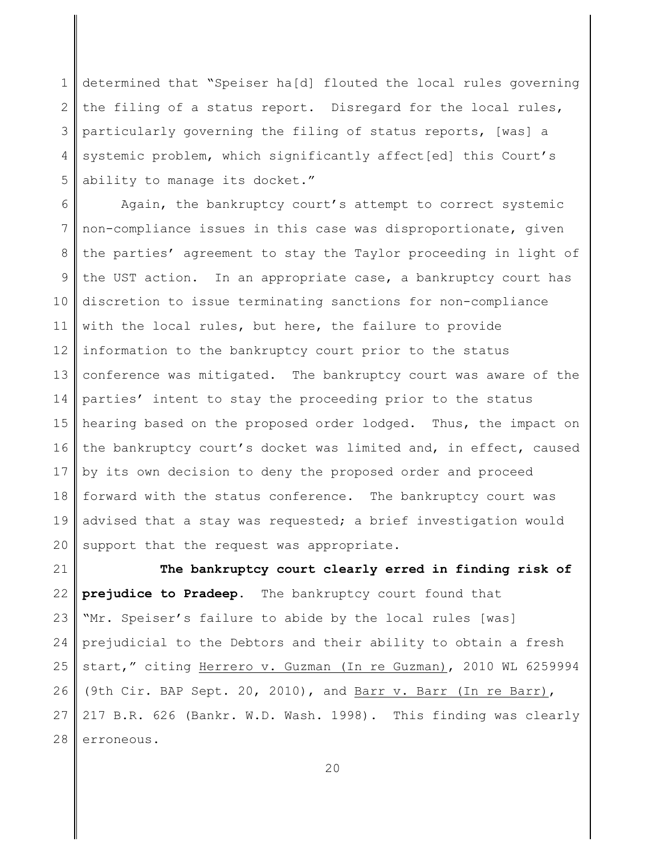1 2 3 4 5 determined that "Speiser ha[d] flouted the local rules governing the filing of a status report. Disregard for the local rules, particularly governing the filing of status reports, [was] a systemic problem, which significantly affect[ed] this Court's ability to manage its docket."

6 7 8 9 10 11 12 13 14 15 16 17 18 19 20 Again, the bankruptcy court's attempt to correct systemic non-compliance issues in this case was disproportionate, given the parties' agreement to stay the Taylor proceeding in light of the UST action. In an appropriate case, a bankruptcy court has discretion to issue terminating sanctions for non-compliance with the local rules, but here, the failure to provide information to the bankruptcy court prior to the status conference was mitigated. The bankruptcy court was aware of the parties' intent to stay the proceeding prior to the status hearing based on the proposed order lodged. Thus, the impact on the bankruptcy court's docket was limited and, in effect, caused by its own decision to deny the proposed order and proceed forward with the status conference. The bankruptcy court was advised that a stay was requested; a brief investigation would support that the request was appropriate.

21 22 23 24 25 26 27 28 **The bankruptcy court clearly erred in finding risk of prejudice to Pradeep.** The bankruptcy court found that "Mr. Speiser's failure to abide by the local rules [was] prejudicial to the Debtors and their ability to obtain a fresh start," citing Herrero v. Guzman (In re Guzman), 2010 WL 6259994 (9th Cir. BAP Sept. 20, 2010), and Barr v. Barr (In re Barr), 217 B.R. 626 (Bankr. W.D. Wash. 1998). This finding was clearly erroneous.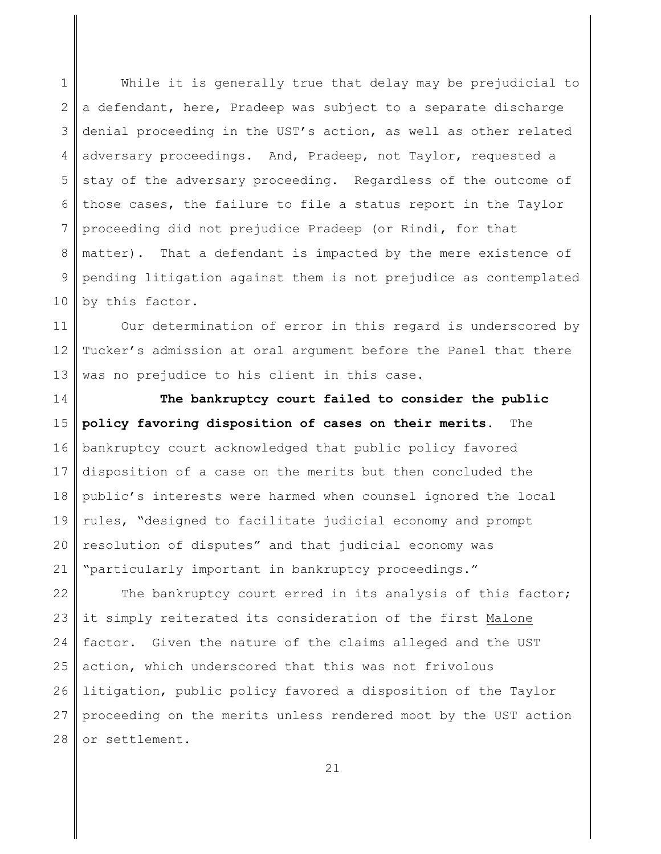1 2 3 4 5 6 7 8 9 10 While it is generally true that delay may be prejudicial to a defendant, here, Pradeep was subject to a separate discharge denial proceeding in the UST's action, as well as other related adversary proceedings. And, Pradeep, not Taylor, requested a stay of the adversary proceeding. Regardless of the outcome of those cases, the failure to file a status report in the Taylor proceeding did not prejudice Pradeep (or Rindi, for that matter). That a defendant is impacted by the mere existence of pending litigation against them is not prejudice as contemplated by this factor.

11 12 13 Our determination of error in this regard is underscored by Tucker's admission at oral argument before the Panel that there was no prejudice to his client in this case.

14 15 16 17 18 19 20 21 **The bankruptcy court failed to consider the public policy favoring disposition of cases on their merits.** The bankruptcy court acknowledged that public policy favored disposition of a case on the merits but then concluded the public's interests were harmed when counsel ignored the local rules, "designed to facilitate judicial economy and prompt resolution of disputes" and that judicial economy was "particularly important in bankruptcy proceedings."

22 23 24 25 26 27 28 The bankruptcy court erred in its analysis of this factor; it simply reiterated its consideration of the first Malone factor. Given the nature of the claims alleged and the UST action, which underscored that this was not frivolous litigation, public policy favored a disposition of the Taylor proceeding on the merits unless rendered moot by the UST action or settlement.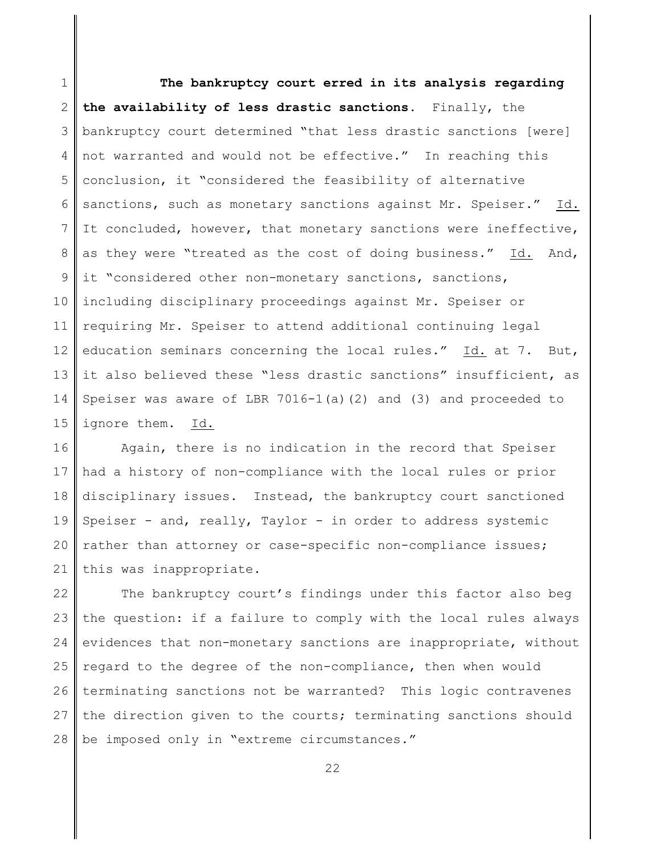1 2 3 4 5 6 7 8 9 10 11 12 13 14 15 **The bankruptcy court erred in its analysis regarding the availability of less drastic sanctions.** Finally, the bankruptcy court determined "that less drastic sanctions [were] not warranted and would not be effective." In reaching this conclusion, it "considered the feasibility of alternative sanctions, such as monetary sanctions against Mr. Speiser." Id. It concluded, however, that monetary sanctions were ineffective, as they were "treated as the cost of doing business." Id. And, it "considered other non-monetary sanctions, sanctions, including disciplinary proceedings against Mr. Speiser or requiring Mr. Speiser to attend additional continuing legal education seminars concerning the local rules." Id. at 7. But, it also believed these "less drastic sanctions" insufficient, as Speiser was aware of LBR  $7016-1$  (a)  $(2)$  and  $(3)$  and proceeded to ignore them. Id.

16 17 18 19 20 21 Again, there is no indication in the record that Speiser had a history of non-compliance with the local rules or prior disciplinary issues. Instead, the bankruptcy court sanctioned Speiser - and, really, Taylor - in order to address systemic rather than attorney or case-specific non-compliance issues; this was inappropriate.

22 23 24 25 26 27 28 The bankruptcy court's findings under this factor also beg the question: if a failure to comply with the local rules always evidences that non-monetary sanctions are inappropriate, without regard to the degree of the non-compliance, then when would terminating sanctions not be warranted? This logic contravenes the direction given to the courts; terminating sanctions should be imposed only in "extreme circumstances."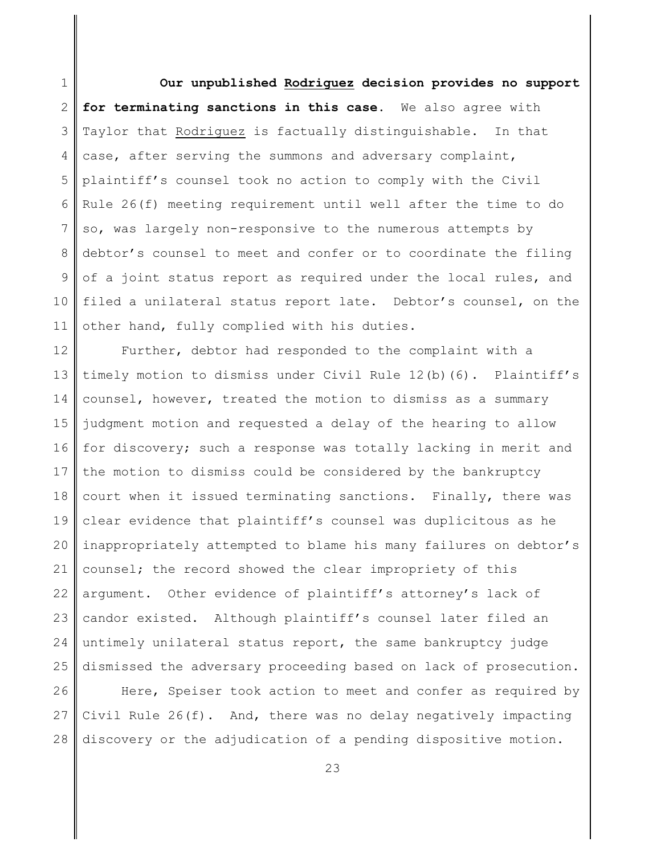1 2 3 4 5 6 7 8 9 10 11 **Our unpublished Rodriguez decision provides no support for terminating sanctions in this case.** We also agree with Taylor that Rodriguez is factually distinguishable. In that case, after serving the summons and adversary complaint, plaintiff's counsel took no action to comply with the Civil Rule 26(f) meeting requirement until well after the time to do so, was largely non-responsive to the numerous attempts by debtor's counsel to meet and confer or to coordinate the filing of a joint status report as required under the local rules, and filed a unilateral status report late. Debtor's counsel, on the other hand, fully complied with his duties.

12 13 14 15 16 17 18 19 20 21 22 23 24 25 Further, debtor had responded to the complaint with a timely motion to dismiss under Civil Rule 12(b)(6). Plaintiff's counsel, however, treated the motion to dismiss as a summary judgment motion and requested a delay of the hearing to allow for discovery; such a response was totally lacking in merit and the motion to dismiss could be considered by the bankruptcy court when it issued terminating sanctions. Finally, there was clear evidence that plaintiff's counsel was duplicitous as he inappropriately attempted to blame his many failures on debtor's counsel; the record showed the clear impropriety of this argument. Other evidence of plaintiff's attorney's lack of candor existed. Although plaintiff's counsel later filed an untimely unilateral status report, the same bankruptcy judge dismissed the adversary proceeding based on lack of prosecution.

26 27 28 Here, Speiser took action to meet and confer as required by Civil Rule 26(f). And, there was no delay negatively impacting discovery or the adjudication of a pending dispositive motion.